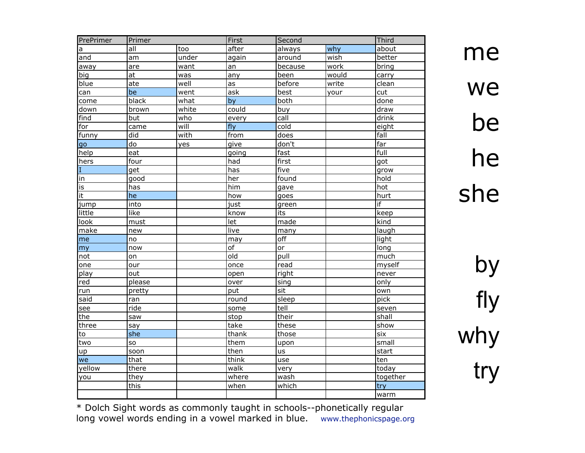| PrePrimer | Primer          |       | First           | Second  |       |                |
|-----------|-----------------|-------|-----------------|---------|-------|----------------|
| a         | all             | too   | after           | always  | why   | Third<br>about |
| and       | am              | under | again           | around  | wish  | better         |
| away      | are             | want  | an              | because | work  | bring          |
| big       | $\overline{at}$ | was   | any             | been    | would | carry          |
| blue      | ate             | well  | as              | before  | write | clean          |
| can       | be              | went  | ask             | best    | your  | cut            |
| come      | black           | what  | by              | both    |       | done           |
| down      | brown           | white | could           | buy     |       | draw           |
| find      | but             | who   | every           | call    |       | drink          |
| for       | came            | will  | fly             | cold    |       | eight          |
| funny     | did             | with  | from            | does    |       | fall           |
| qo        | $\overline{d}$  | yes   | give            | don't   |       | far            |
| help      | eat             |       | going           | fast    |       | full           |
| hers      | four            |       | had             | first   |       | got            |
| I         | get             |       | has             | five    |       | grow           |
| in        | good            |       | her             | found   |       | hold           |
| is        | has             |       | him             | gave    |       | hot            |
| it        | he              |       | how             | goes    |       | hurt           |
| jump      | into            |       | just            | green   |       | if             |
| little    | like            |       | know            | its     |       | keep           |
| look      | must            |       | let             | made    |       | kind           |
| make      | new             |       | live            | many    |       | laugh          |
| me        | no              |       | may             | off     |       | light          |
| my        | now             |       | $\overline{of}$ | or      |       | long           |
| not       | on              |       | old             | pull    |       | much           |
| one       | our             |       | once            | read    |       | myself         |
| play      | out             |       | open            | right   |       | never          |
| red       | please          |       | over            | sing    |       | only           |
| run       | pretty          |       | put             | sit     |       | own            |
| said      | ran             |       | round           | sleep   |       | pick           |
| see       | ride            |       | some            | tell    |       | seven          |
| the       | saw             |       | stop            | their   |       | shall          |
| three     | say             |       | take            | these   |       | show           |
| to        | she             |       | thank           | those   |       | six            |
| two       | SO              |       | them            | upon    |       | small          |
| up        | soon            |       | then            | us      |       | start          |
| we        | that            |       | think           | use     |       | ten            |
| yellow    | there           |       | walk            | very    |       | today          |
| you       | they            |       | where           | wash    |       | together       |
|           | this            |       | when            | which   |       | try            |
|           |                 |       |                 |         |       | warm           |

me we be he she

by fly why try

\* Dolch Sight words as commonly taught in schools--phonetically regular long vowel words ending in a vowel marked in blue. www.thephonicspage.org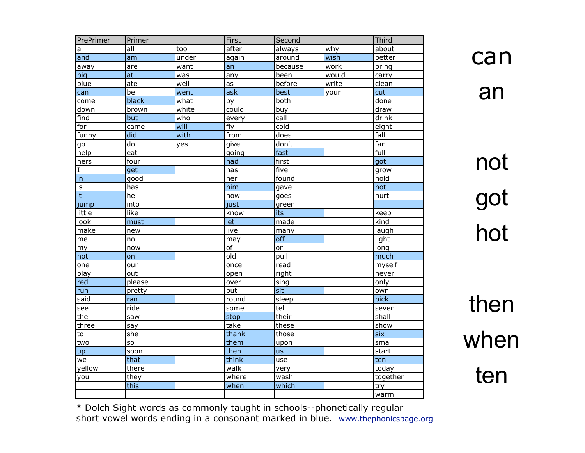| PrePrimer | Primer         |       | First | Second  |       | Third    |
|-----------|----------------|-------|-------|---------|-------|----------|
| a         | all            | too   | after | always  | why   | about    |
| and       | am             | under | again | around  | wish  | better   |
| away      | are            | want  | an    | because | work  | bring    |
| big       | at             | was   | any   | been    | would | carry    |
| blue      | ate            | well  | as    | before  | write | clean    |
| can       | be             | went  | ask   | best    | your  | cut      |
| come      | black          | what  | by    | both    |       | done     |
| down      | brown          | white | could | buy     |       | draw     |
| find      | but            | who   | every | call    |       | drink    |
| for       | came           | will  | fly   | cold    |       | eight    |
| funny     | did            | with  | from  | does    |       | fall     |
| go        | $\overline{d}$ | yes   | give  | don't   |       | far      |
| help      | eat            |       | going | fast    |       | full     |
| hers      | four           |       | had   | first   |       | got      |
| I         | get            |       | has   | five    |       | grow     |
| in        | good           |       | her   | found   |       | hold     |
| is        | has            |       | him   | gave    |       | hot      |
| it        | he             |       | how   | goes    |       | hurt     |
| jump      | into           |       | just  | green   |       | if       |
| little    | like           |       | know  | its     |       | keep     |
| look      | must           |       | let   | made    |       | kind     |
| make      | new            |       | live  | many    |       | laugh    |
| me        | no             |       | may   | off     |       | light    |
| my        | now            |       | of    | or      |       | long     |
| not       | on             |       | old   | pull    |       | much     |
| one       | our            |       | once  | read    |       | myself   |
| play      | out            |       | open  | right   |       | never    |
| red       | please         |       | over  | sing    |       | only     |
| run       | pretty         |       | put   | sit     |       | own      |
| said      | ran            |       | round | sleep   |       | pick     |
| see       | ride           |       | some  | tell    |       | seven    |
| the       | saw            |       | stop  | their   |       | shall    |
| three     | say            |       | take  | these   |       | show     |
| to        | she            |       | thank | those   |       | six      |
| two       | so             |       | them  | upon    |       | small    |
| up        | soon           |       | then  | us      |       | start    |
| we        | that           |       | think | use     |       | ten      |
| yellow    | there          |       | walk  | very    |       | today    |
| you       | they           |       | where | wash    |       | together |
|           | this           |       | when  | which   |       | try      |
|           |                |       |       |         |       | warm     |

not got hot

then when ten

\* Dolch Sight words as commonly taught in schools--phonetically regular short vowel words ending in a consonant marked in blue. www.thephonicspage.org